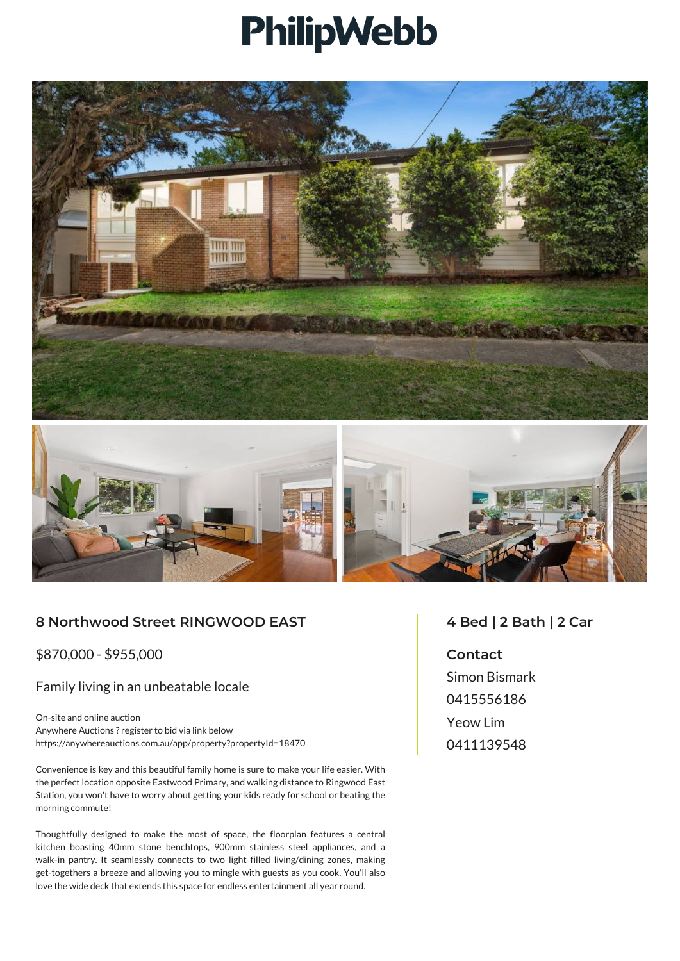## PhilipWebb





## **8 Northwood Street RINGWOOD EAST**

\$870,000 - \$955,000

## Family living in an unbeatable locale

On-site and online auction Anywhere Auctions ? register to bid via link below https://anywhereauctions.com.au/app/property?propertyId=18470

Convenience is key and this beautiful family home is sure to make your life easier. With the perfect location opposite Eastwood Primary, and walking distance to Ringwood East Station, you won't have to worry about getting your kids ready for school or beating the morning commute!

Thoughtfully designed to make the most of space, the floorplan features a central kitchen boasting 40mm stone benchtops, 900mm stainless steel appliances, and a walk-in pantry. It seamlessly connects to two light filled living/dining zones, making get-togethers a breeze and allowing you to mingle with guests as you cook. You'll also love the wide deck that extends this space for endless entertainment all year round.

## **4 Bed | 2 Bath | 2 Car**

**Contact** Simon Bismark 0415556186 Yeow Lim 0411139548